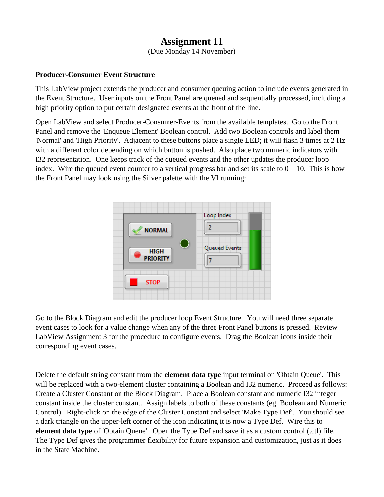## **Assignment 11**

(Due Monday 14 November)

## **Producer-Consumer Event Structure**

This LabView project extends the producer and consumer queuing action to include events generated in the Event Structure. User inputs on the Front Panel are queued and sequentially processed, including a high priority option to put certain designated events at the front of the line.

Open LabView and select Producer-Consumer-Events from the available templates. Go to the Front Panel and remove the 'Enqueue Element' Boolean control. Add two Boolean controls and label them 'Normal' and 'High Priority'. Adjacent to these buttons place a single LED; it will flash 3 times at 2 Hz with a different color depending on which button is pushed. Also place two numeric indicators with I32 representation. One keeps track of the queued events and the other updates the producer loop index. Wire the queued event counter to a vertical progress bar and set its scale to 0—10. This is how the Front Panel may look using the Silver palette with the VI running:



Go to the Block Diagram and edit the producer loop Event Structure. You will need three separate event cases to look for a value change when any of the three Front Panel buttons is pressed. Review LabView Assignment 3 for the procedure to configure events. Drag the Boolean icons inside their corresponding event cases.

Delete the default string constant from the **element data type** input terminal on 'Obtain Queue'. This will be replaced with a two-element cluster containing a Boolean and I32 numeric. Proceed as follows: Create a Cluster Constant on the Block Diagram. Place a Boolean constant and numeric I32 integer constant inside the cluster constant. Assign labels to both of these constants (eg. Boolean and Numeric Control). Right-click on the edge of the Cluster Constant and select 'Make Type Def'. You should see a dark triangle on the upper-left corner of the icon indicating it is now a Type Def. Wire this to **element data type** of 'Obtain Queue'. Open the Type Def and save it as a custom control (.ctl) file. The Type Def gives the programmer flexibility for future expansion and customization, just as it does in the State Machine.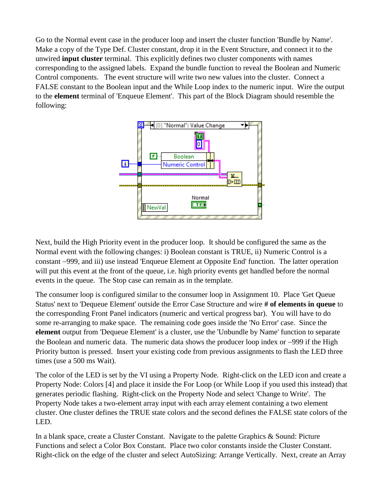Go to the Normal event case in the producer loop and insert the cluster function 'Bundle by Name'. Make a copy of the Type Def. Cluster constant, drop it in the Event Structure, and connect it to the unwired **input cluster** terminal. This explicitly defines two cluster components with names corresponding to the assigned labels. Expand the bundle function to reveal the Boolean and Numeric Control components. The event structure will write two new values into the cluster. Connect a FALSE constant to the Boolean input and the While Loop index to the numeric input. Wire the output to the **element** terminal of 'Enqueue Element'. This part of the Block Diagram should resemble the following:



Next, build the High Priority event in the producer loop. It should be configured the same as the Normal event with the following changes: i) Boolean constant is TRUE, ii) Numeric Control is a constant 999, and iii) use instead 'Enqueue Element at Opposite End' function. The latter operation will put this event at the front of the queue, i.e. high priority events get handled before the normal events in the queue. The Stop case can remain as in the template.

The consumer loop is configured similar to the consumer loop in Assignment 10. Place 'Get Queue Status' next to 'Dequeue Element' outside the Error Case Structure and wire **# of elements in queue** to the corresponding Front Panel indicators (numeric and vertical progress bar). You will have to do some re-arranging to make space. The remaining code goes inside the 'No Error' case. Since the **element** output from 'Dequeue Element' is a cluster, use the 'Unbundle by Name' function to separate the Boolean and numeric data. The numeric data shows the producer loop index or  $-999$  if the High Priority button is pressed. Insert your existing code from previous assignments to flash the LED three times (use a 500 ms Wait).

The color of the LED is set by the VI using a Property Node. Right-click on the LED icon and create a Property Node: Colors [4] and place it inside the For Loop (or While Loop if you used this instead) that generates periodic flashing. Right-click on the Property Node and select 'Change to Write'. The Property Node takes a two-element array input with each array element containing a two element cluster. One cluster defines the TRUE state colors and the second defines the FALSE state colors of the LED.

In a blank space, create a Cluster Constant. Navigate to the palette Graphics & Sound: Picture Functions and select a Color Box Constant. Place two color constants inside the Cluster Constant. Right-click on the edge of the cluster and select AutoSizing: Arrange Vertically. Next, create an Array